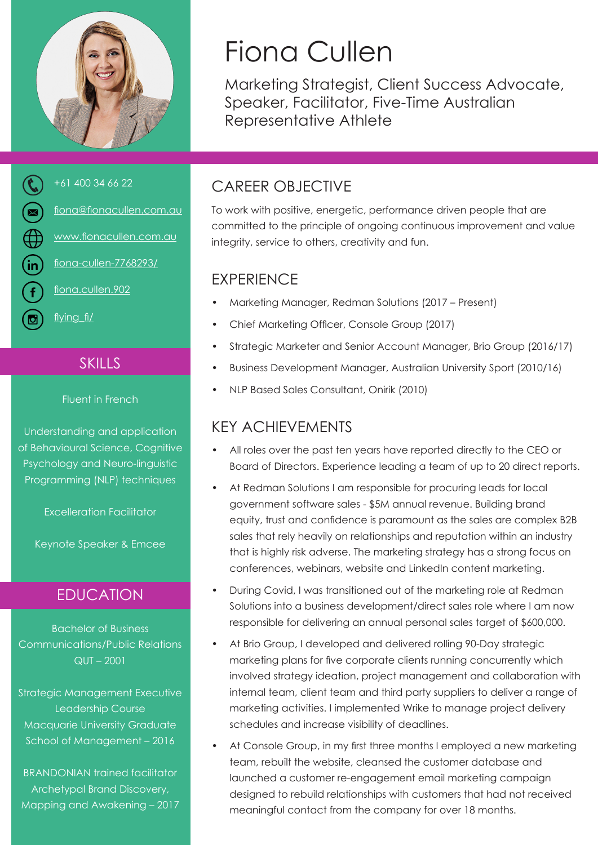

# Fiona Cullen

Marketing Strategist, Client Success Advocate, Speaker, Facilitator, Five-Time Australian Representative Athlete

# +61 400 34 66 22 fiona@fionacullen.com.au  $\bigoplus$ www.fionacullen.com.au  $\widehat{\mathsf{in}}$ fiona-cullen-7768293/ fiona.cullen.902 flying fi/

#### **SKILLS**

#### Fluent in French

Understanding and application of Behavioural Science, Cognitive Psychology and Neuro-linguistic Programming (NLP) techniques

Excelleration Facilitator

Keynote Speaker & Emcee

# EDUCATION

Bachelor of Business Communications/Public Relations QUT – 2001

Strategic Management Executive Leadership Course Macquarie University Graduate School of Management – 2016

BRANDONIAN trained facilitator Archetypal Brand Discovery, Mapping and Awakening – 2017

# CAREER OBJECTIVE

To work with positive, energetic, performance driven people that are committed to the principle of ongoing continuous improvement and value integrity, service to others, creativity and fun.

#### **EXPERIENCE**

- Marketing Manager, Redman Solutions (2017 Present)
- Chief Marketing Officer, Console Group (2017)
- Strategic Marketer and Senior Account Manager, Brio Group (2016/17)
- Business Development Manager, Australian University Sport (2010/16)
- NLP Based Sales Consultant, Onirik (2010)

# KEY ACHIEVEMENTS

- All roles over the past ten years have reported directly to the CEO or Board of Directors. Experience leading a team of up to 20 direct reports.
- At Redman Solutions I am responsible for procuring leads for local government software sales - \$5M annual revenue. Building brand equity, trust and confidence is paramount as the sales are complex B2B sales that rely heavily on relationships and reputation within an industry that is highly risk adverse. The marketing strategy has a strong focus on conferences, webinars, website and LinkedIn content marketing.
- During Covid, I was transitioned out of the marketing role at Redman Solutions into a business development/direct sales role where I am now responsible for delivering an annual personal sales target of \$600,000.
- At Brio Group, I developed and delivered rolling 90-Day strategic marketing plans for five corporate clients running concurrently which involved strategy ideation, project management and collaboration with internal team, client team and third party suppliers to deliver a range of marketing activities. I implemented Wrike to manage project delivery schedules and increase visibility of deadlines.
- At Console Group, in my first three months I employed a new marketing team, rebuilt the website, cleansed the customer database and launched a customer re-engagement email marketing campaign designed to rebuild relationships with customers that had not received meaningful contact from the company for over 18 months.